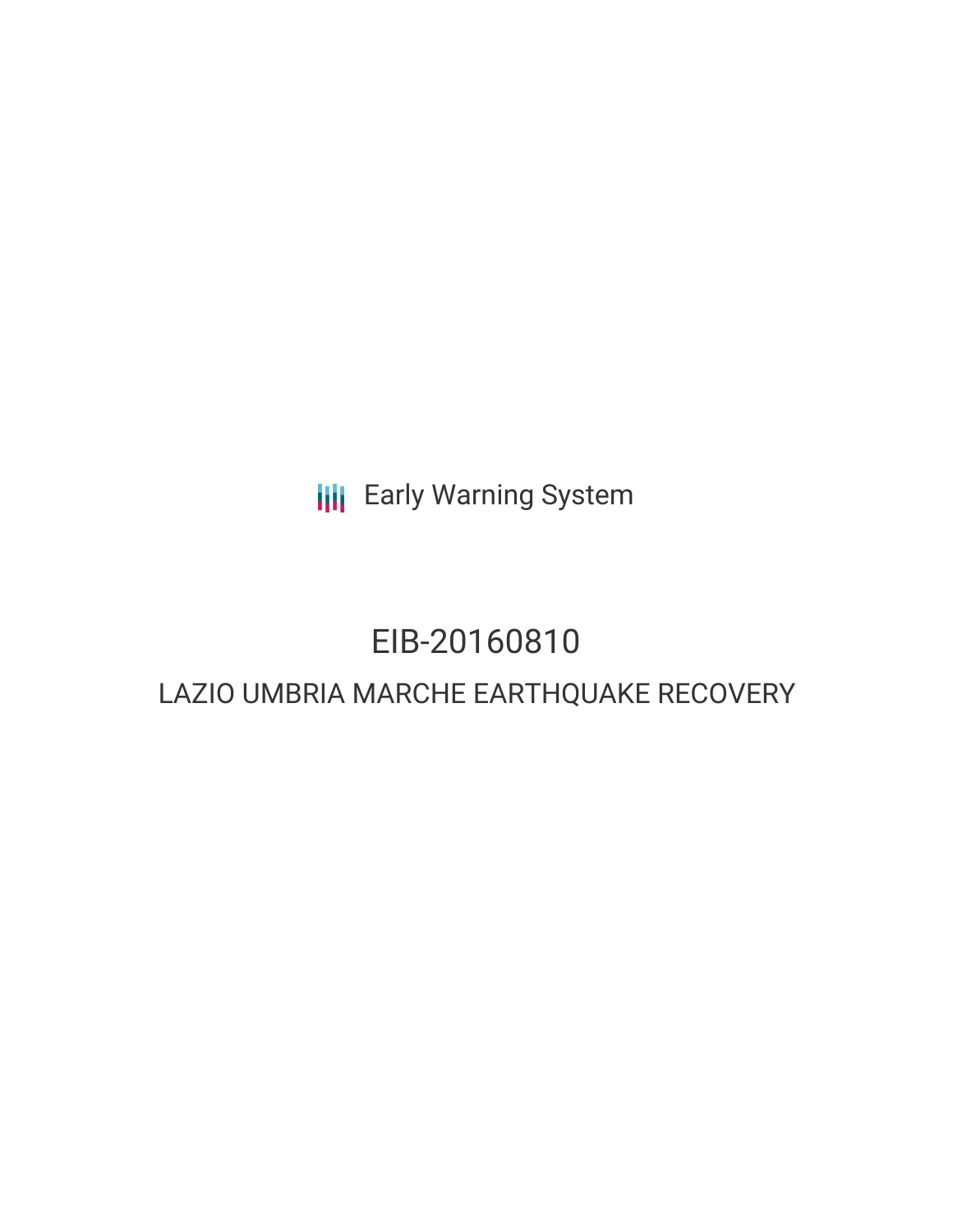**III** Early Warning System

# EIB-20160810 LAZIO UMBRIA MARCHE EARTHQUAKE RECOVERY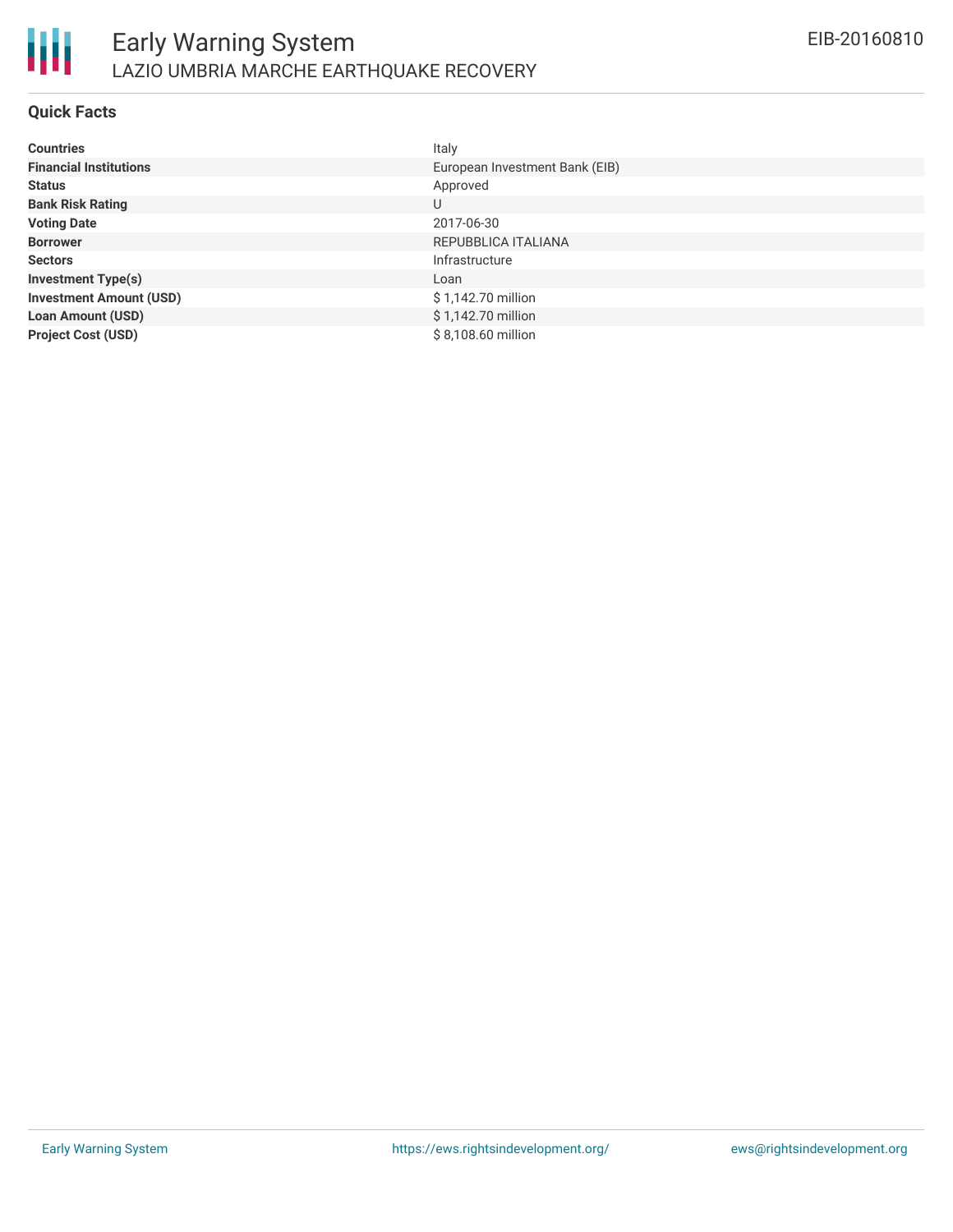

#### **Quick Facts**

| <b>Countries</b>               | Italy                          |
|--------------------------------|--------------------------------|
| <b>Financial Institutions</b>  | European Investment Bank (EIB) |
| <b>Status</b>                  | Approved                       |
| <b>Bank Risk Rating</b>        | U                              |
| <b>Voting Date</b>             | 2017-06-30                     |
| <b>Borrower</b>                | REPUBBLICA ITALIANA            |
| <b>Sectors</b>                 | Infrastructure                 |
| <b>Investment Type(s)</b>      | Loan                           |
| <b>Investment Amount (USD)</b> | \$1,142.70 million             |
| <b>Loan Amount (USD)</b>       | \$1,142.70 million             |
| <b>Project Cost (USD)</b>      | \$8,108.60 million             |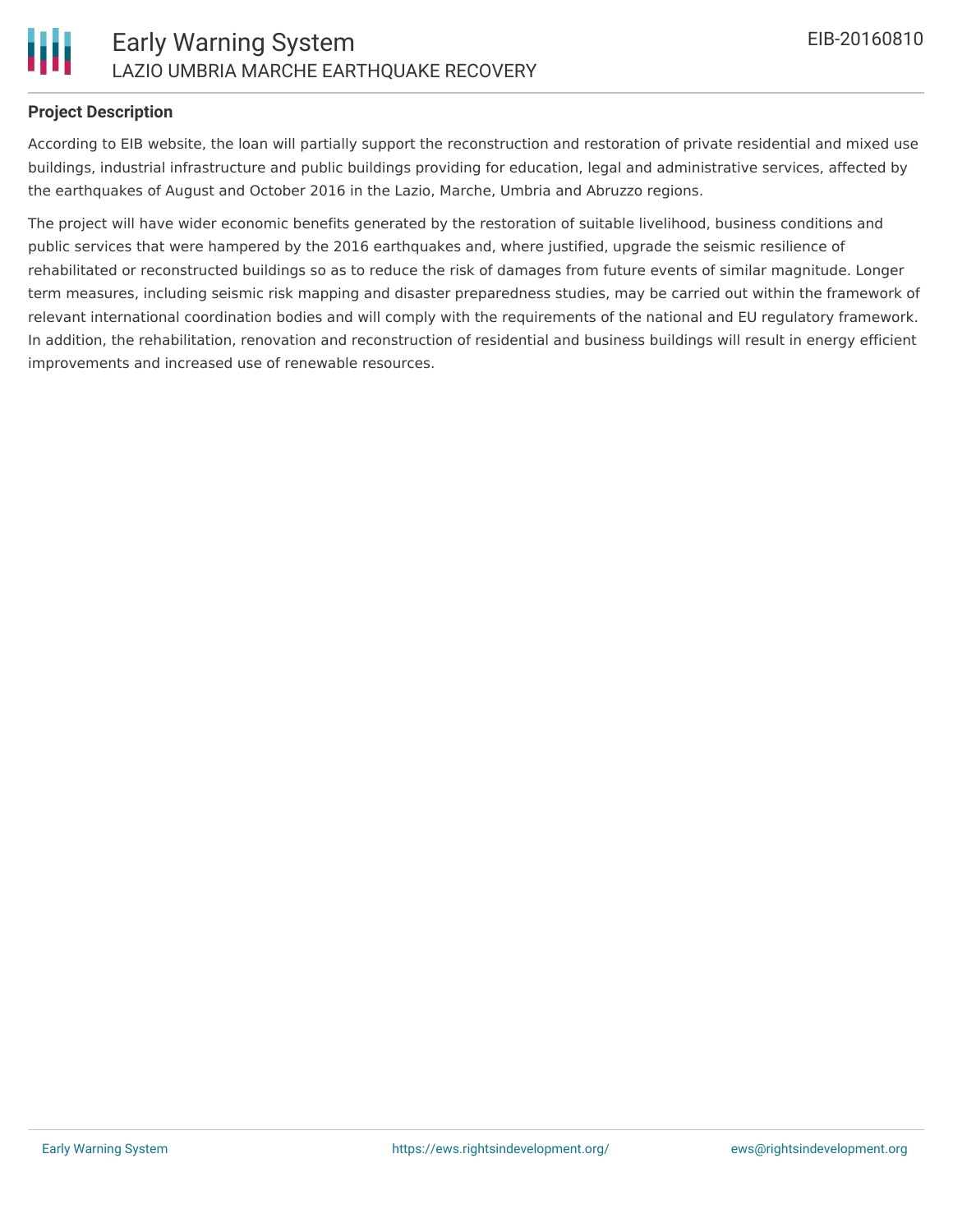

#### **Project Description**

According to EIB website, the loan will partially support the reconstruction and restoration of private residential and mixed use buildings, industrial infrastructure and public buildings providing for education, legal and administrative services, affected by the earthquakes of August and October 2016 in the Lazio, Marche, Umbria and Abruzzo regions.

The project will have wider economic benefits generated by the restoration of suitable livelihood, business conditions and public services that were hampered by the 2016 earthquakes and, where justified, upgrade the seismic resilience of rehabilitated or reconstructed buildings so as to reduce the risk of damages from future events of similar magnitude. Longer term measures, including seismic risk mapping and disaster preparedness studies, may be carried out within the framework of relevant international coordination bodies and will comply with the requirements of the national and EU regulatory framework. In addition, the rehabilitation, renovation and reconstruction of residential and business buildings will result in energy efficient improvements and increased use of renewable resources.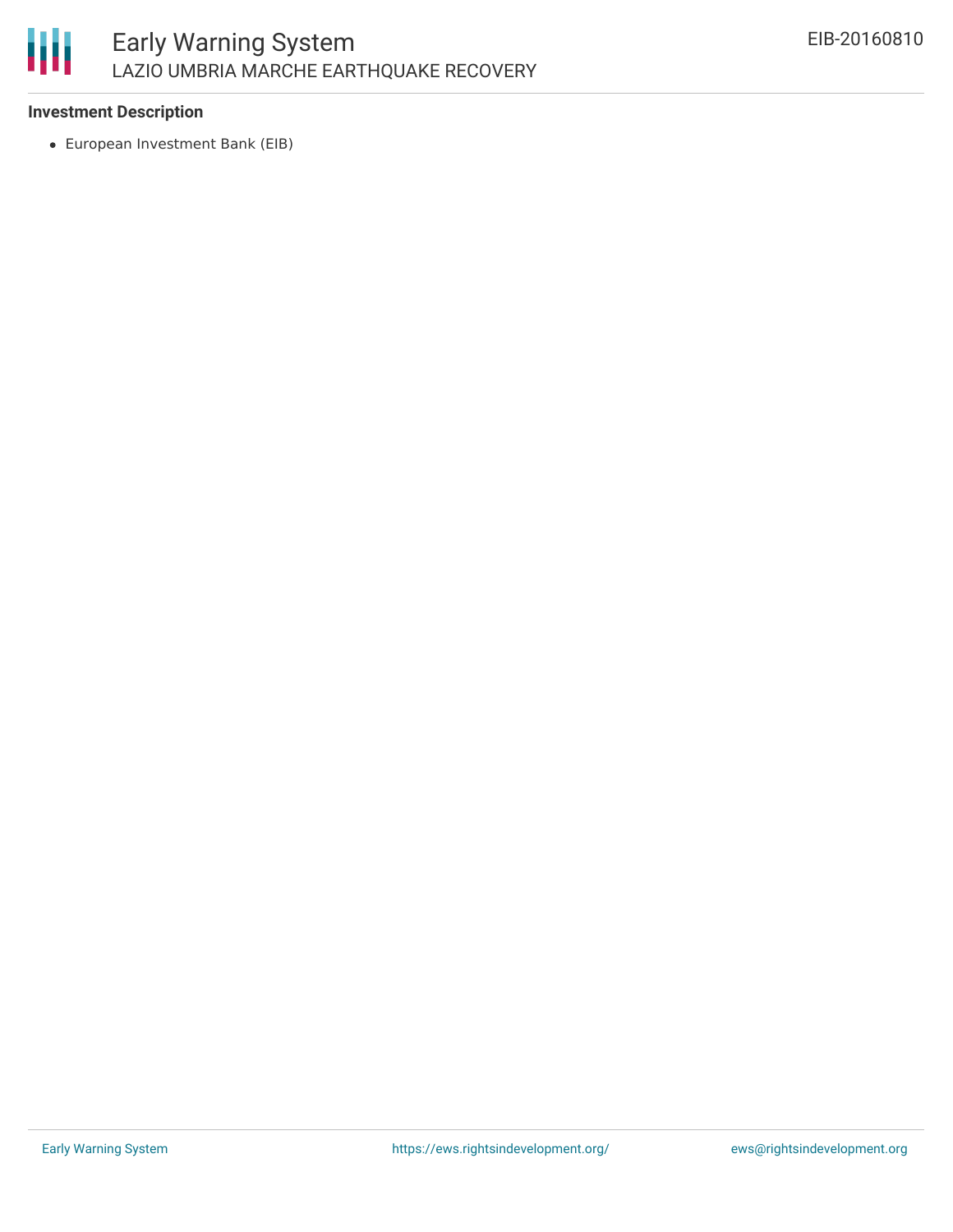

# **Investment Description**

European Investment Bank (EIB)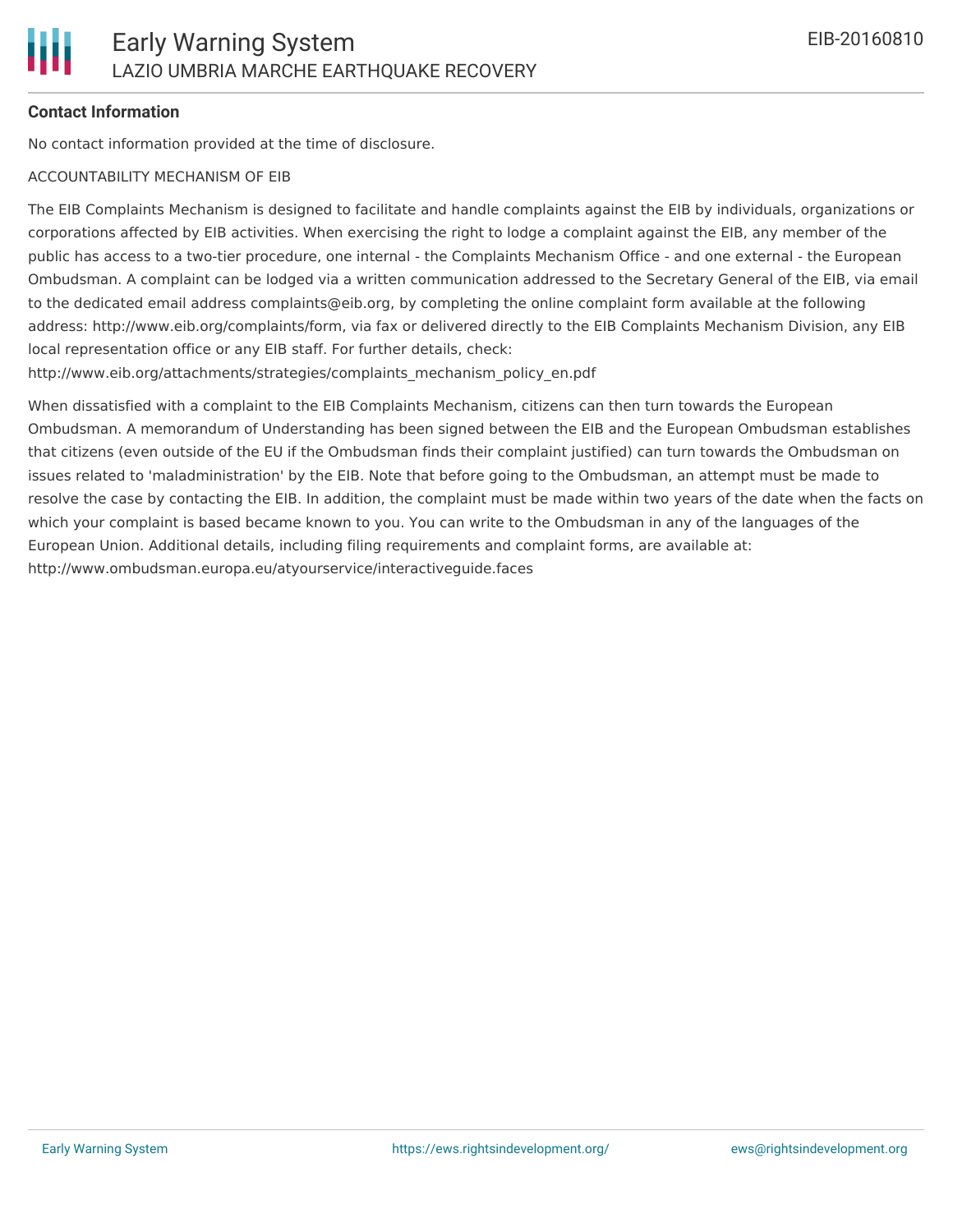# **Contact Information**

No contact information provided at the time of disclosure.

#### ACCOUNTABILITY MECHANISM OF EIB

The EIB Complaints Mechanism is designed to facilitate and handle complaints against the EIB by individuals, organizations or corporations affected by EIB activities. When exercising the right to lodge a complaint against the EIB, any member of the public has access to a two-tier procedure, one internal - the Complaints Mechanism Office - and one external - the European Ombudsman. A complaint can be lodged via a written communication addressed to the Secretary General of the EIB, via email to the dedicated email address complaints@eib.org, by completing the online complaint form available at the following address: http://www.eib.org/complaints/form, via fax or delivered directly to the EIB Complaints Mechanism Division, any EIB local representation office or any EIB staff. For further details, check:

http://www.eib.org/attachments/strategies/complaints\_mechanism\_policy\_en.pdf

When dissatisfied with a complaint to the EIB Complaints Mechanism, citizens can then turn towards the European Ombudsman. A memorandum of Understanding has been signed between the EIB and the European Ombudsman establishes that citizens (even outside of the EU if the Ombudsman finds their complaint justified) can turn towards the Ombudsman on issues related to 'maladministration' by the EIB. Note that before going to the Ombudsman, an attempt must be made to resolve the case by contacting the EIB. In addition, the complaint must be made within two years of the date when the facts on which your complaint is based became known to you. You can write to the Ombudsman in any of the languages of the European Union. Additional details, including filing requirements and complaint forms, are available at: http://www.ombudsman.europa.eu/atyourservice/interactiveguide.faces